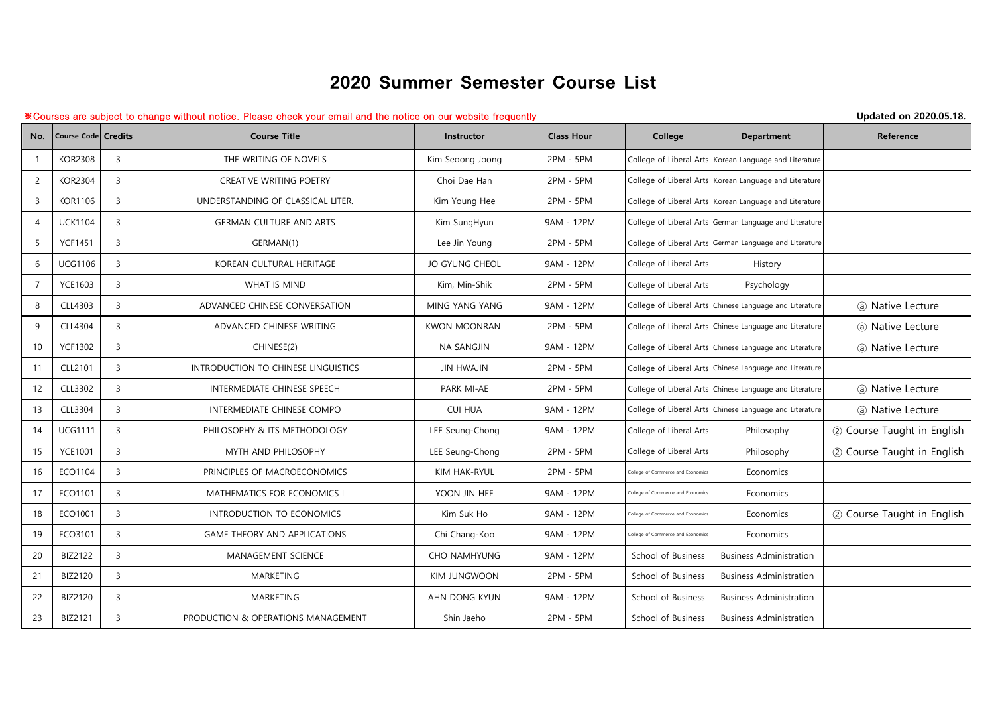## 2020 Summer Semester Course List

## ※Courses are subject to change without notice. Please check your email and the notice on our website frequently **Updated on 2020.05.18.**

| No.            | <b>Course Code Credits</b> |                | <b>Course Title</b>                 | Instructor            | <b>Class Hour</b> | College                           | <b>Department</b>                                       | Reference                  |
|----------------|----------------------------|----------------|-------------------------------------|-----------------------|-------------------|-----------------------------------|---------------------------------------------------------|----------------------------|
|                | <b>KOR2308</b>             | $\overline{3}$ | THE WRITING OF NOVELS               | Kim Seoong Joong      | 2PM - 5PM         |                                   | College of Liberal Arts Korean Language and Literature  |                            |
| $\overline{2}$ | <b>KOR2304</b>             | $\overline{3}$ | CREATIVE WRITING POETRY             | Choi Dae Han          | 2PM - 5PM         |                                   | College of Liberal Arts Korean Language and Literature  |                            |
| $\overline{3}$ | <b>KOR1106</b>             | $\overline{3}$ | UNDERSTANDING OF CLASSICAL LITER.   | Kim Young Hee         | 2PM - 5PM         |                                   | College of Liberal Arts Korean Language and Literature  |                            |
| $\overline{4}$ | <b>UCK1104</b>             | $\overline{3}$ | <b>GERMAN CULTURE AND ARTS</b>      | Kim SungHyun          | 9AM - 12PM        |                                   | College of Liberal Arts German Language and Literature  |                            |
| 5              | <b>YCF1451</b>             | $\overline{3}$ | GERMAN(1)                           | Lee Jin Young         | 2PM - 5PM         |                                   | College of Liberal Arts German Language and Literature  |                            |
| 6              | <b>UCG1106</b>             | $\overline{3}$ | KOREAN CULTURAL HERITAGE            | <b>JO GYUNG CHEOL</b> | 9AM - 12PM        | College of Liberal Arts           | History                                                 |                            |
| $\overline{7}$ | <b>YCE1603</b>             | $\overline{3}$ | WHAT IS MIND                        | Kim, Min-Shik         | 2PM - 5PM         | College of Liberal Arts           | Psychology                                              |                            |
| 8              | CLL4303                    | $\overline{3}$ | ADVANCED CHINESE CONVERSATION       | MING YANG YANG        | 9AM - 12PM        |                                   | College of Liberal Arts Chinese Language and Literature | (a) Native Lecture         |
| 9              | CLL4304                    | $\overline{3}$ | ADVANCED CHINESE WRITING            | <b>KWON MOONRAN</b>   | 2PM - 5PM         |                                   | College of Liberal Arts Chinese Language and Literature | (a) Native Lecture         |
| 10             | <b>YCF1302</b>             | $\overline{3}$ | CHINESE(2)                          | NA SANGJIN            | 9AM - 12PM        |                                   | College of Liberal Arts Chinese Language and Literature | (a) Native Lecture         |
| 11             | CLL2101                    | $\overline{3}$ | INTRODUCTION TO CHINESE LINGUISTICS | <b>JIN HWAJIN</b>     | 2PM - 5PM         |                                   | College of Liberal Arts Chinese Language and Literature |                            |
| 12             | CLL3302                    | $\overline{3}$ | INTERMEDIATE CHINESE SPEECH         | PARK MI-AE            | 2PM - 5PM         |                                   | College of Liberal Arts Chinese Language and Literature | (a) Native Lecture         |
| 13             | CLL3304                    | $\overline{3}$ | INTERMEDIATE CHINESE COMPO          | <b>CUI HUA</b>        | 9AM - 12PM        |                                   | College of Liberal Arts Chinese Language and Literature | (a) Native Lecture         |
| 14             | <b>UCG1111</b>             | $\overline{3}$ | PHILOSOPHY & ITS METHODOLOGY        | LEE Seung-Chong       | 9AM - 12PM        | College of Liberal Arts           | Philosophy                                              | 2 Course Taught in English |
| 15             | <b>YCE1001</b>             | $\overline{3}$ | MYTH AND PHILOSOPHY                 | LEE Seung-Chong       | 2PM - 5PM         | College of Liberal Arts           | Philosophy                                              | 2 Course Taught in English |
| 16             | ECO1104                    | $\overline{3}$ | PRINCIPLES OF MACROECONOMICS        | KIM HAK-RYUL          | 2PM - 5PM         | College of Commerce and Economics | Economics                                               |                            |
| 17             | ECO1101                    | $\overline{3}$ | MATHEMATICS FOR ECONOMICS I         | YOON JIN HEE          | 9AM - 12PM        | College of Commerce and Economic  | Economics                                               |                            |
| 18             | ECO1001                    | $\overline{3}$ | INTRODUCTION TO ECONOMICS           | Kim Suk Ho            | 9AM - 12PM        | ollege of Commerce and Economic   | Economics                                               | 2 Course Taught in English |
| 19             | ECO3101                    | $\overline{3}$ | <b>GAME THEORY AND APPLICATIONS</b> | Chi Chang-Koo         | 9AM - 12PM        | College of Commerce and Economic  | Economics                                               |                            |
| 20             | BIZ2122                    | $\overline{3}$ | <b>MANAGEMENT SCIENCE</b>           | <b>CHO NAMHYUNG</b>   | 9AM - 12PM        | School of Business                | <b>Business Administration</b>                          |                            |
| 21             | <b>BIZ2120</b>             | $\overline{3}$ | MARKETING                           | KIM JUNGWOON          | 2PM - 5PM         | School of Business                | <b>Business Administration</b>                          |                            |
| 22             | <b>BIZ2120</b>             | $\overline{3}$ | MARKETING                           | AHN DONG KYUN         | 9AM - 12PM        | School of Business                | <b>Business Administration</b>                          |                            |
| 23             | <b>BIZ2121</b>             | $\overline{3}$ | PRODUCTION & OPERATIONS MANAGEMENT  | Shin Jaeho            | 2PM - 5PM         | School of Business                | <b>Business Administration</b>                          |                            |